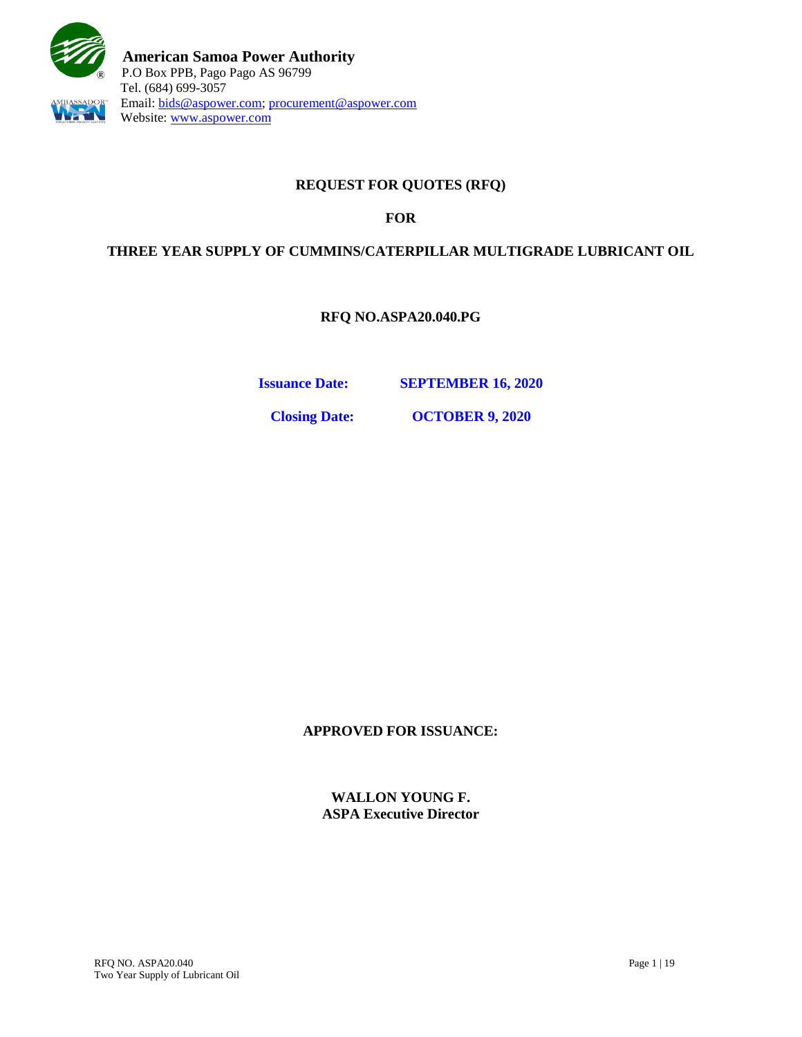

# **REQUEST FOR QUOTES (RFQ)**

## **FOR**

## **THREE YEAR SUPPLY OF CUMMINS/CATERPILLAR MULTIGRADE LUBRICANT OIL**

**RFQ NO.ASPA20.040.PG**

**Issuance Date: SEPTEMBER 16, 2020**

**Closing Date: OCTOBER 9, 2020**

**APPROVED FOR ISSUANCE:**

**WALLON YOUNG F. ASPA Executive Director**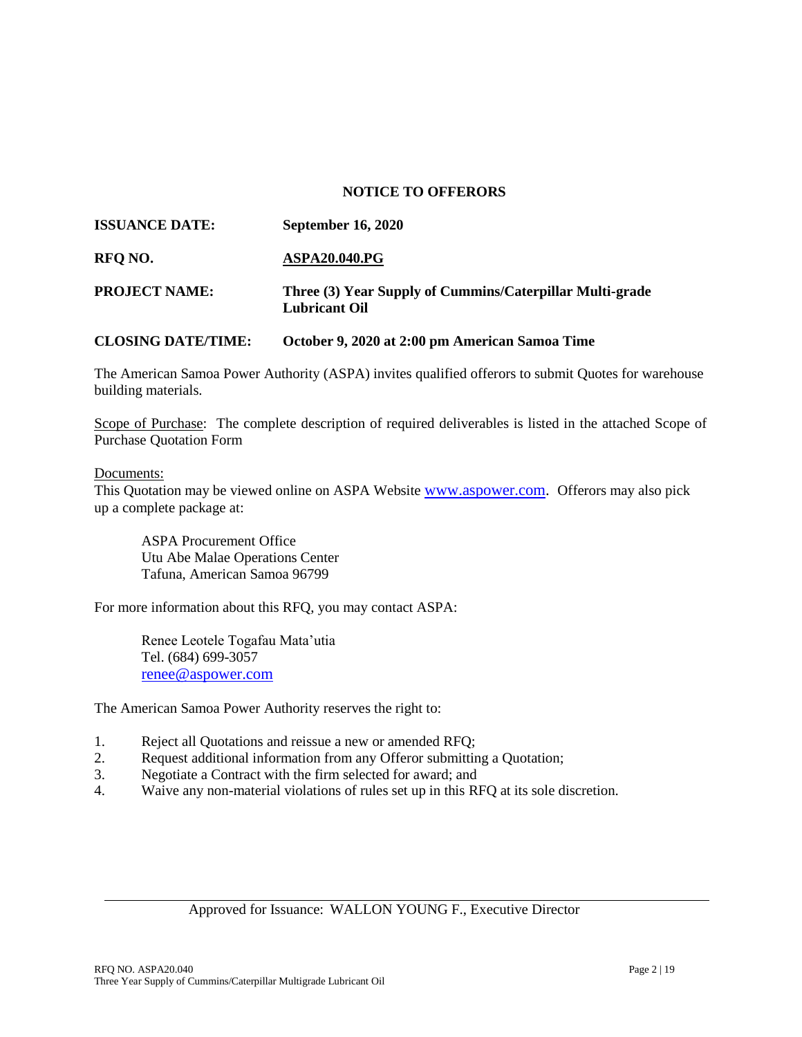#### **NOTICE TO OFFERORS**

| <b>ISSUANCE DATE:</b>     | <b>September 16, 2020</b>                                                        |
|---------------------------|----------------------------------------------------------------------------------|
| RFO NO.                   | <b>ASPA20.040.PG</b>                                                             |
| <b>PROJECT NAME:</b>      | Three (3) Year Supply of Cummins/Caterpillar Multi-grade<br><b>Lubricant Oil</b> |
| <b>CLOSING DATE/TIME:</b> | October 9, 2020 at 2:00 pm American Samoa Time                                   |

The American Samoa Power Authority (ASPA) invites qualified offerors to submit Quotes for warehouse building materials.

Scope of Purchase: The complete description of required deliverables is listed in the attached Scope of Purchase Quotation Form

#### Documents:

This Quotation may be viewed online on ASPA Website [www.aspower.com.](http://www.aspower.com/) Offerors may also pick up a complete package at:

ASPA Procurement Office Utu Abe Malae Operations Center Tafuna, American Samoa 96799

For more information about this RFQ, you may contact ASPA:

Renee Leotele Togafau Mata'utia Tel. (684) 699-3057 [renee@aspower.com](mailto:renee@aspower.com)

The American Samoa Power Authority reserves the right to:

- 1. Reject all Quotations and reissue a new or amended RFQ;
- 2. Request additional information from any Offeror submitting a Quotation;
- 3. Negotiate a Contract with the firm selected for award; and
- 4. Waive any non-material violations of rules set up in this RFQ at its sole discretion.

Approved for Issuance: WALLON YOUNG F., Executive Director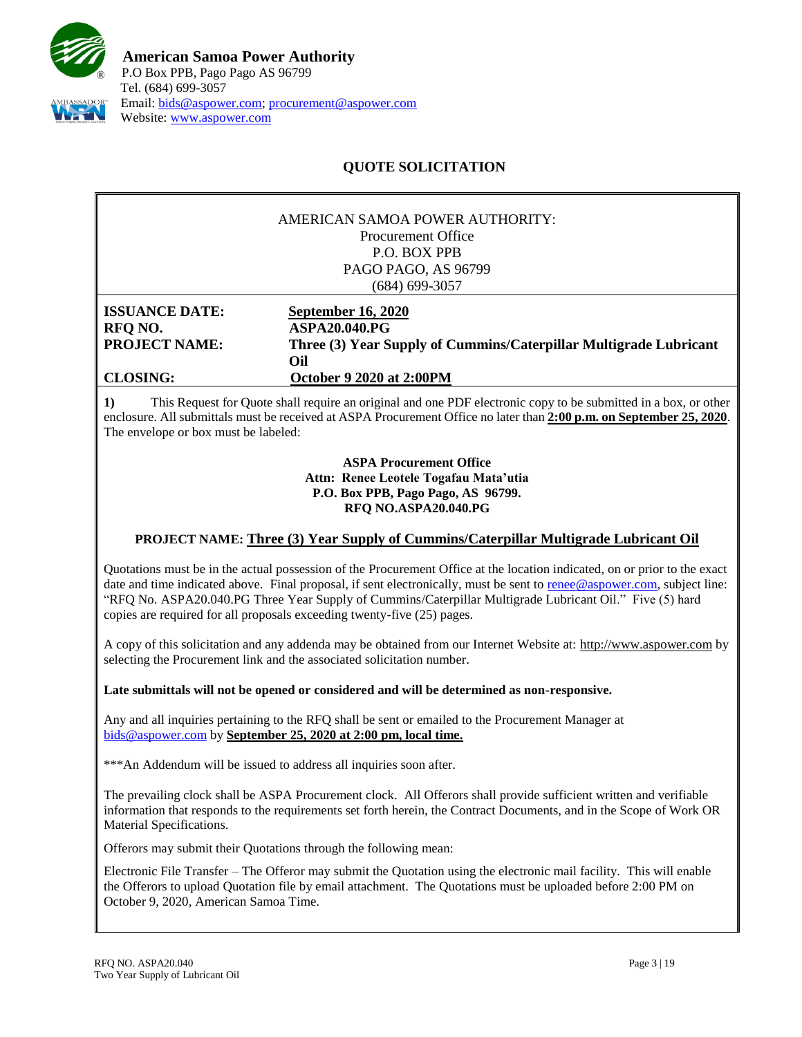

# **QUOTE SOLICITATION**

|                                                                             | AMERICAN SAMOA POWER AUTHORITY:<br><b>Procurement Office</b><br><b>P.O. BOX PPB</b><br>PAGO PAGO, AS 96799<br>(684) 699-3057                                     |
|-----------------------------------------------------------------------------|------------------------------------------------------------------------------------------------------------------------------------------------------------------|
| <b>ISSUANCE DATE:</b><br>RFQ NO.<br><b>PROJECT NAME:</b><br><b>CLOSING:</b> | <b>September 16, 2020</b><br><b>ASPA20.040.PG</b><br>Three (3) Year Supply of Cummins/Caterpillar Multigrade Lubricant<br>Oil<br><b>October 9 2020 at 2:00PM</b> |

**1)** This Request for Quote shall require an original and one PDF electronic copy to be submitted in a box, or other enclosure. All submittals must be received at ASPA Procurement Office no later than **2:00 p.m. on September 25, 2020**. The envelope or box must be labeled:

> **ASPA Procurement Office Attn: Renee Leotele Togafau Mata'utia P.O. Box PPB, Pago Pago, AS 96799. RFQ NO.ASPA20.040.PG**

### **PROJECT NAME: Three (3) Year Supply of Cummins/Caterpillar Multigrade Lubricant Oil**

Quotations must be in the actual possession of the Procurement Office at the location indicated, on or prior to the exact date and time indicated above. Final proposal, if sent electronically, must be sent to [renee@aspower.com,](mailto:renee@aspower.com) subject line: "RFQ No. ASPA20.040.PG Three Year Supply of Cummins/Caterpillar Multigrade Lubricant Oil." Five (5) hard copies are required for all proposals exceeding twenty-five (25) pages.

A copy of this solicitation and any addenda may be obtained from our Internet Website at: [http://www.aspower.com](http://www.aspower.com/) by selecting the Procurement link and the associated solicitation number.

#### **Late submittals will not be opened or considered and will be determined as non-responsive.**

Any and all inquiries pertaining to the RFQ shall be sent or emailed to the Procurement Manager at [bids@aspower.com](mailto:bids@aspower.com) by **September 25, 2020 at 2:00 pm, local time.**

\*\*\*An Addendum will be issued to address all inquiries soon after.

The prevailing clock shall be ASPA Procurement clock. All Offerors shall provide sufficient written and verifiable information that responds to the requirements set forth herein, the Contract Documents, and in the Scope of Work OR Material Specifications.

**2)** Offerors may submit their Quotations through the following mean:

Electronic File Transfer – The Offeror may submit the Quotation using the electronic mail facility. This will enable the Offerors to upload Quotation file by email attachment. The Quotations must be uploaded before 2:00 PM on October 9, 2020, American Samoa Time.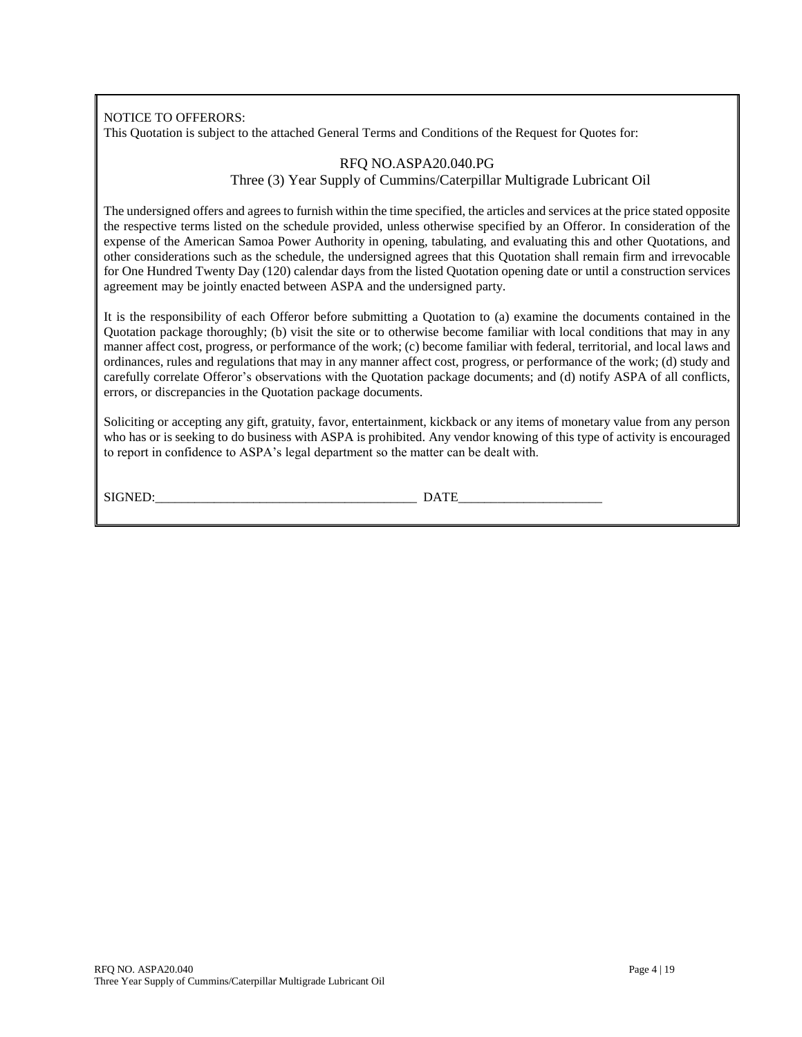NOTICE TO OFFERORS:

This Quotation is subject to the attached General Terms and Conditions of the Request for Quotes for:

#### RFQ NO.ASPA20.040.PG Three (3) Year Supply of Cummins/Caterpillar Multigrade Lubricant Oil

The undersigned offers and agrees to furnish within the time specified, the articles and services at the price stated opposite the respective terms listed on the schedule provided, unless otherwise specified by an Offeror. In consideration of the expense of the American Samoa Power Authority in opening, tabulating, and evaluating this and other Quotations, and other considerations such as the schedule, the undersigned agrees that this Quotation shall remain firm and irrevocable for One Hundred Twenty Day (120) calendar days from the listed Quotation opening date or until a construction services agreement may be jointly enacted between ASPA and the undersigned party.

It is the responsibility of each Offeror before submitting a Quotation to (a) examine the documents contained in the Quotation package thoroughly; (b) visit the site or to otherwise become familiar with local conditions that may in any manner affect cost, progress, or performance of the work; (c) become familiar with federal, territorial, and local laws and ordinances, rules and regulations that may in any manner affect cost, progress, or performance of the work; (d) study and carefully correlate Offeror's observations with the Quotation package documents; and (d) notify ASPA of all conflicts, errors, or discrepancies in the Quotation package documents.

Soliciting or accepting any gift, gratuity, favor, entertainment, kickback or any items of monetary value from any person who has or is seeking to do business with ASPA is prohibited. Any vendor knowing of this type of activity is encouraged to report in confidence to ASPA's legal department so the matter can be dealt with.

SIGNED: DATE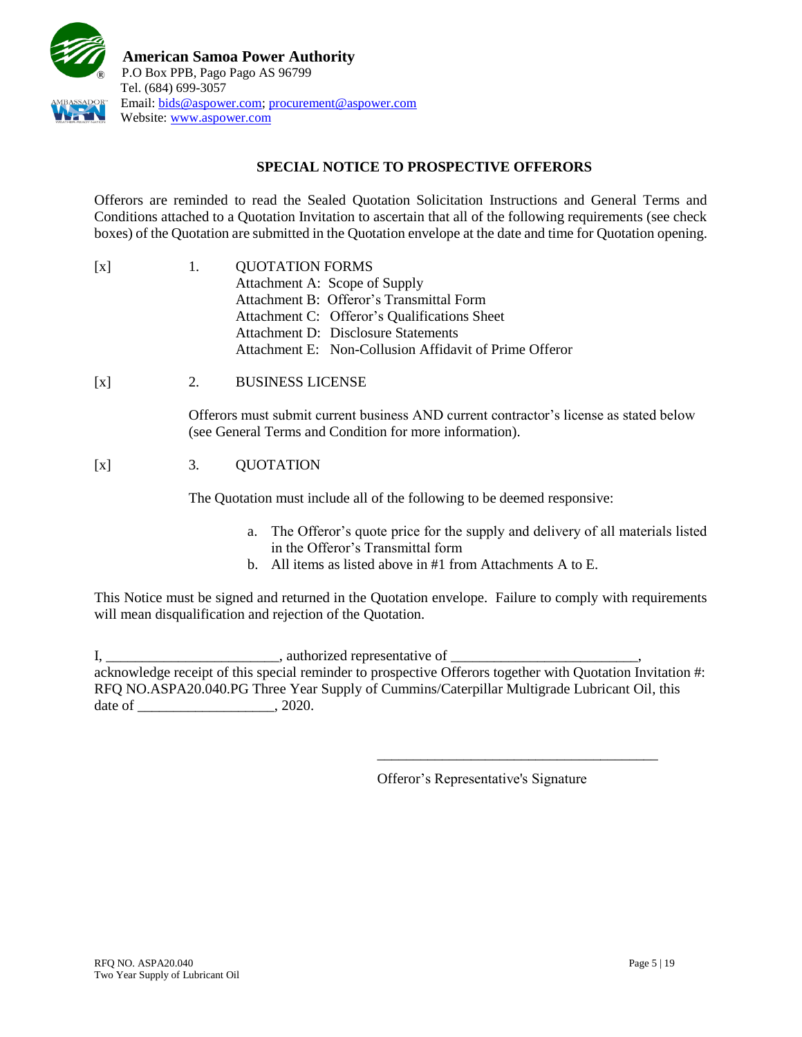

## **SPECIAL NOTICE TO PROSPECTIVE OFFERORS**

Offerors are reminded to read the Sealed Quotation Solicitation Instructions and General Terms and Conditions attached to a Quotation Invitation to ascertain that all of the following requirements (see check boxes) of the Quotation are submitted in the Quotation envelope at the date and time for Quotation opening.

| <b>QUOTATION FORMS</b>                                 |
|--------------------------------------------------------|
| Attachment A: Scope of Supply                          |
| Attachment B: Offeror's Transmittal Form               |
| Attachment C: Offeror's Qualifications Sheet           |
| Attachment D: Disclosure Statements                    |
| Attachment E: Non-Collusion Affidavit of Prime Offeror |
|                                                        |

[x] 2. BUSINESS LICENSE

Offerors must submit current business AND current contractor's license as stated below (see General Terms and Condition for more information).

# [x] 3. QUOTATION

The Quotation must include all of the following to be deemed responsive:

- a. The Offeror's quote price for the supply and delivery of all materials listed in the Offeror's Transmittal form
- b. All items as listed above in #1 from Attachments A to E.

This Notice must be signed and returned in the Quotation envelope. Failure to comply with requirements will mean disqualification and rejection of the Quotation.

I, \_\_\_\_\_\_\_\_\_\_\_\_\_\_\_\_\_\_\_\_\_\_\_\_\_\_\_\_, authorized representative of \_\_\_\_\_\_\_\_\_\_\_\_\_\_\_\_\_\_ acknowledge receipt of this special reminder to prospective Offerors together with Quotation Invitation #: RFQ NO.ASPA20.040.PG Three Year Supply of Cummins/Caterpillar Multigrade Lubricant Oil, this date of \_\_\_\_\_\_\_\_\_\_\_\_\_\_\_\_\_\_\_\_\_\_\_\_, 2020.

Offeror's Representative's Signature

\_\_\_\_\_\_\_\_\_\_\_\_\_\_\_\_\_\_\_\_\_\_\_\_\_\_\_\_\_\_\_\_\_\_\_\_\_\_\_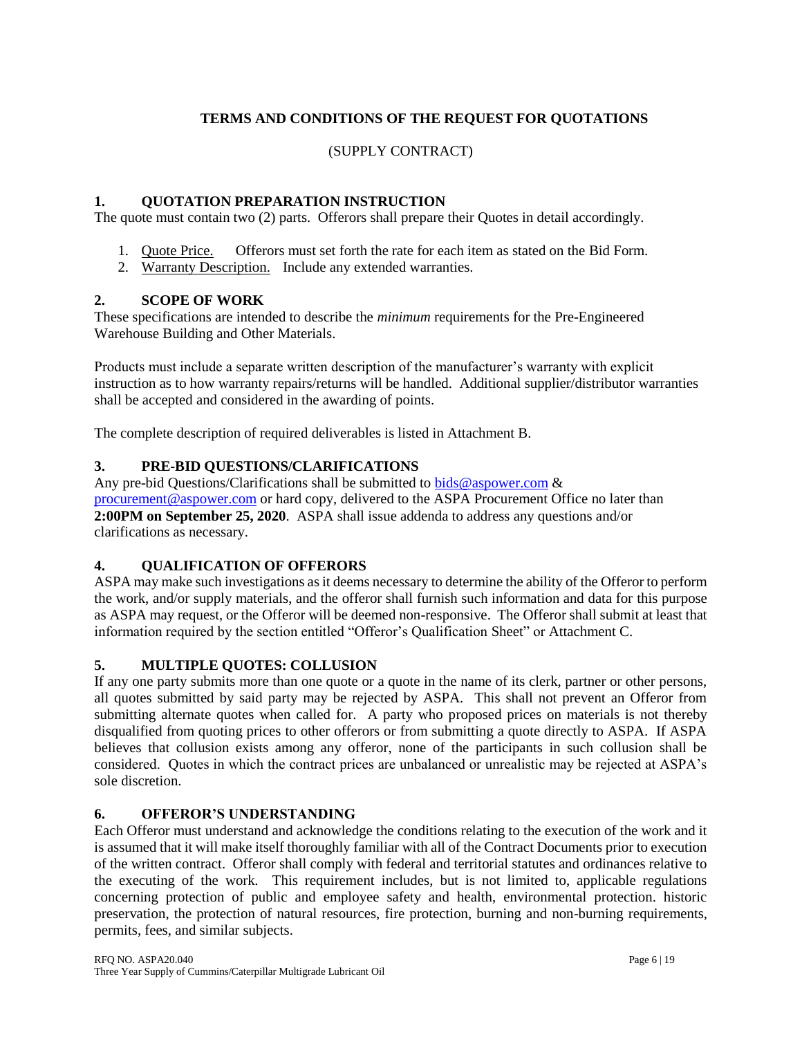# **TERMS AND CONDITIONS OF THE REQUEST FOR QUOTATIONS**

## (SUPPLY CONTRACT)

## **1. QUOTATION PREPARATION INSTRUCTION**

The quote must contain two (2) parts. Offerors shall prepare their Quotes in detail accordingly.

- 1. Quote Price. Offerors must set forth the rate for each item as stated on the Bid Form.
- 2. Warranty Description. Include any extended warranties.

## **2. SCOPE OF WORK**

These specifications are intended to describe the *minimum* requirements for the Pre-Engineered Warehouse Building and Other Materials.

Products must include a separate written description of the manufacturer's warranty with explicit instruction as to how warranty repairs/returns will be handled. Additional supplier/distributor warranties shall be accepted and considered in the awarding of points.

The complete description of required deliverables is listed in Attachment B.

## **3. PRE-BID QUESTIONS/CLARIFICATIONS**

Any pre-bid Questions/Clarifications shall be submitted to [bids@aspower.com](mailto:bids@aspower.com)  $\&$ [procurement@aspower.com](mailto:procurement@aspower.com) or hard copy, delivered to the ASPA Procurement Office no later than **2:00PM on September 25, 2020**. ASPA shall issue addenda to address any questions and/or clarifications as necessary.

### **4. QUALIFICATION OF OFFERORS**

ASPA may make such investigations as it deems necessary to determine the ability of the Offeror to perform the work, and/or supply materials, and the offeror shall furnish such information and data for this purpose as ASPA may request, or the Offeror will be deemed non-responsive. The Offeror shall submit at least that information required by the section entitled "Offeror's Qualification Sheet" or Attachment C.

### **5. MULTIPLE QUOTES: COLLUSION**

If any one party submits more than one quote or a quote in the name of its clerk, partner or other persons, all quotes submitted by said party may be rejected by ASPA. This shall not prevent an Offeror from submitting alternate quotes when called for. A party who proposed prices on materials is not thereby disqualified from quoting prices to other offerors or from submitting a quote directly to ASPA. If ASPA believes that collusion exists among any offeror, none of the participants in such collusion shall be considered. Quotes in which the contract prices are unbalanced or unrealistic may be rejected at ASPA's sole discretion.

## **6. OFFEROR'S UNDERSTANDING**

Each Offeror must understand and acknowledge the conditions relating to the execution of the work and it is assumed that it will make itself thoroughly familiar with all of the Contract Documents prior to execution of the written contract. Offeror shall comply with federal and territorial statutes and ordinances relative to the executing of the work. This requirement includes, but is not limited to, applicable regulations concerning protection of public and employee safety and health, environmental protection. historic preservation, the protection of natural resources, fire protection, burning and non-burning requirements, permits, fees, and similar subjects.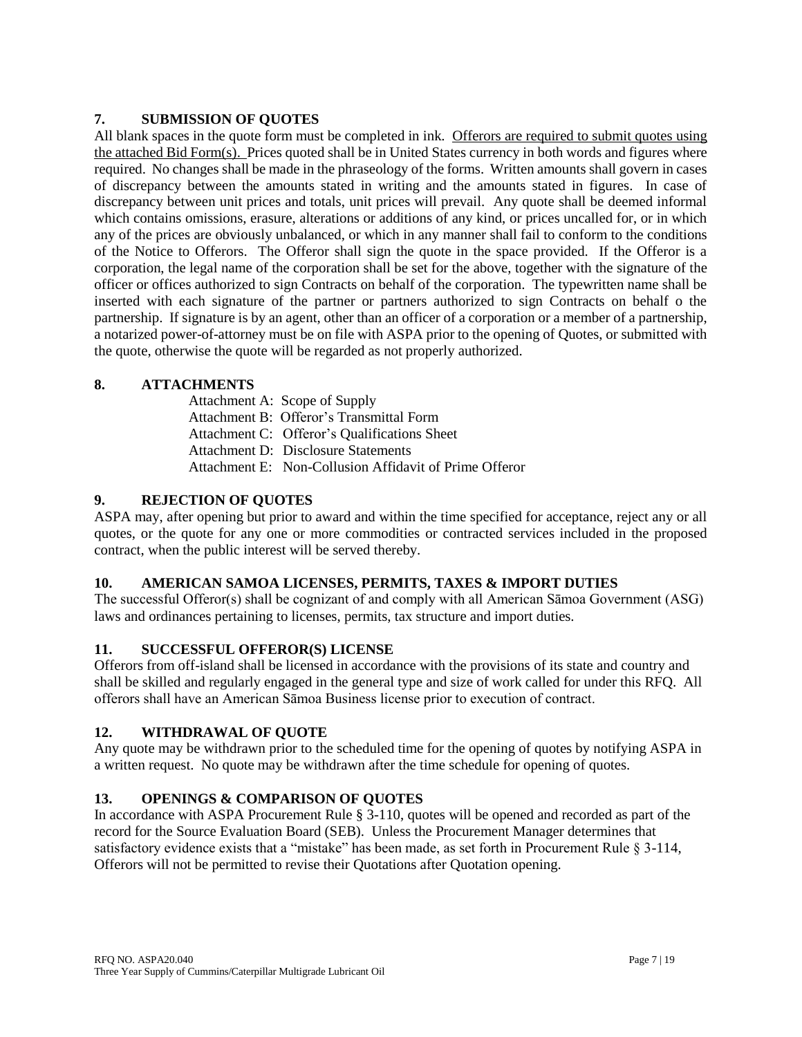## **7. SUBMISSION OF QUOTES**

All blank spaces in the quote form must be completed in ink. Offerors are required to submit quotes using the attached Bid Form(s). Prices quoted shall be in United States currency in both words and figures where required. No changes shall be made in the phraseology of the forms. Written amounts shall govern in cases of discrepancy between the amounts stated in writing and the amounts stated in figures. In case of discrepancy between unit prices and totals, unit prices will prevail. Any quote shall be deemed informal which contains omissions, erasure, alterations or additions of any kind, or prices uncalled for, or in which any of the prices are obviously unbalanced, or which in any manner shall fail to conform to the conditions of the Notice to Offerors. The Offeror shall sign the quote in the space provided. If the Offeror is a corporation, the legal name of the corporation shall be set for the above, together with the signature of the officer or offices authorized to sign Contracts on behalf of the corporation. The typewritten name shall be inserted with each signature of the partner or partners authorized to sign Contracts on behalf o the partnership. If signature is by an agent, other than an officer of a corporation or a member of a partnership, a notarized power-of-attorney must be on file with ASPA prior to the opening of Quotes, or submitted with the quote, otherwise the quote will be regarded as not properly authorized.

## **8. ATTACHMENTS**

Attachment A: Scope of Supply Attachment B: Offeror's Transmittal Form Attachment C: Offeror's Qualifications Sheet Attachment D: Disclosure Statements Attachment E: Non-Collusion Affidavit of Prime Offeror

## **9. REJECTION OF QUOTES**

ASPA may, after opening but prior to award and within the time specified for acceptance, reject any or all quotes, or the quote for any one or more commodities or contracted services included in the proposed contract, when the public interest will be served thereby.

## **10. AMERICAN SAMOA LICENSES, PERMITS, TAXES & IMPORT DUTIES**

The successful Offeror(s) shall be cognizant of and comply with all American Sāmoa Government (ASG) laws and ordinances pertaining to licenses, permits, tax structure and import duties.

### **11. SUCCESSFUL OFFEROR(S) LICENSE**

Offerors from off-island shall be licensed in accordance with the provisions of its state and country and shall be skilled and regularly engaged in the general type and size of work called for under this RFQ. All offerors shall have an American Sāmoa Business license prior to execution of contract.

### **12. WITHDRAWAL OF QUOTE**

Any quote may be withdrawn prior to the scheduled time for the opening of quotes by notifying ASPA in a written request. No quote may be withdrawn after the time schedule for opening of quotes.

## **13. OPENINGS & COMPARISON OF QUOTES**

In accordance with ASPA Procurement Rule § 3-110, quotes will be opened and recorded as part of the record for the Source Evaluation Board (SEB). Unless the Procurement Manager determines that satisfactory evidence exists that a "mistake" has been made, as set forth in Procurement Rule § 3-114, Offerors will not be permitted to revise their Quotations after Quotation opening.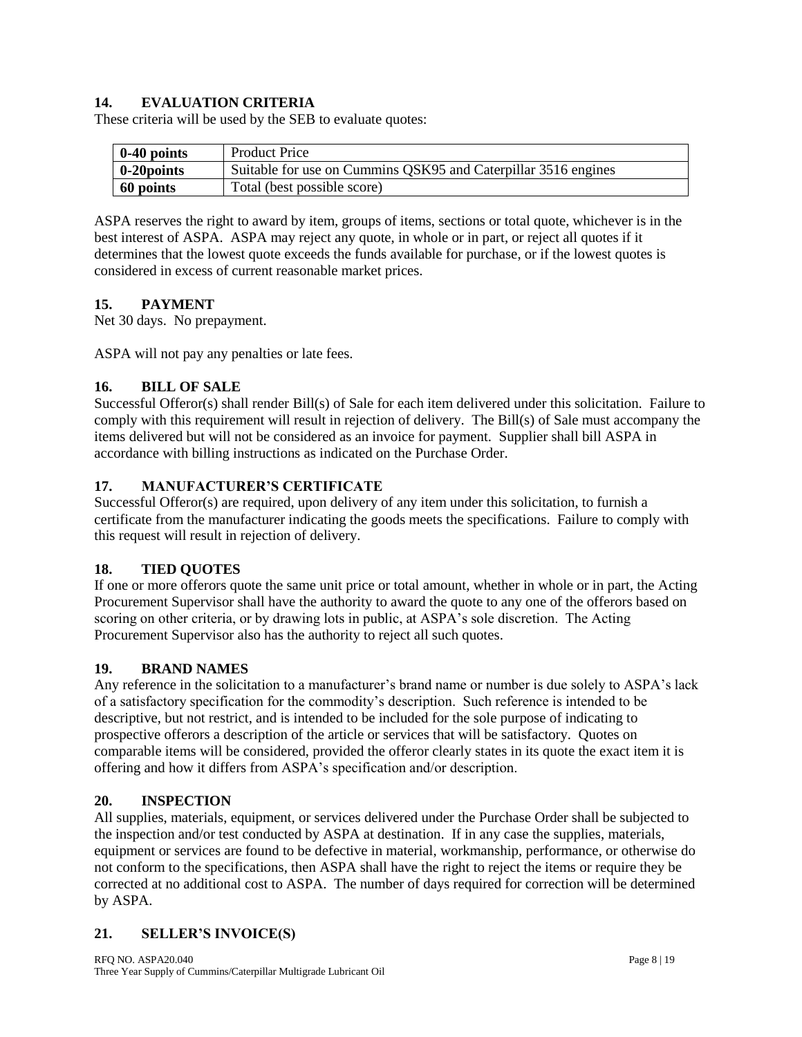## **14. EVALUATION CRITERIA**

These criteria will be used by the SEB to evaluate quotes:

| $0-40$ points       | <b>Product Price</b>                                           |
|---------------------|----------------------------------------------------------------|
| $\vert$ 0-20 points | Suitable for use on Cummins QSK95 and Caterpillar 3516 engines |
| 60 points           | Total (best possible score)                                    |

ASPA reserves the right to award by item, groups of items, sections or total quote, whichever is in the best interest of ASPA. ASPA may reject any quote, in whole or in part, or reject all quotes if it determines that the lowest quote exceeds the funds available for purchase, or if the lowest quotes is considered in excess of current reasonable market prices.

### **15. PAYMENT**

Net 30 days. No prepayment.

ASPA will not pay any penalties or late fees.

### **16. BILL OF SALE**

Successful Offeror(s) shall render Bill(s) of Sale for each item delivered under this solicitation. Failure to comply with this requirement will result in rejection of delivery. The Bill(s) of Sale must accompany the items delivered but will not be considered as an invoice for payment. Supplier shall bill ASPA in accordance with billing instructions as indicated on the Purchase Order.

### **17. MANUFACTURER'S CERTIFICATE**

Successful Offeror(s) are required, upon delivery of any item under this solicitation, to furnish a certificate from the manufacturer indicating the goods meets the specifications. Failure to comply with this request will result in rejection of delivery.

### **18. TIED QUOTES**

If one or more offerors quote the same unit price or total amount, whether in whole or in part, the Acting Procurement Supervisor shall have the authority to award the quote to any one of the offerors based on scoring on other criteria, or by drawing lots in public, at ASPA's sole discretion. The Acting Procurement Supervisor also has the authority to reject all such quotes.

### **19. BRAND NAMES**

Any reference in the solicitation to a manufacturer's brand name or number is due solely to ASPA's lack of a satisfactory specification for the commodity's description. Such reference is intended to be descriptive, but not restrict, and is intended to be included for the sole purpose of indicating to prospective offerors a description of the article or services that will be satisfactory. Quotes on comparable items will be considered, provided the offeror clearly states in its quote the exact item it is offering and how it differs from ASPA's specification and/or description.

### **20. INSPECTION**

All supplies, materials, equipment, or services delivered under the Purchase Order shall be subjected to the inspection and/or test conducted by ASPA at destination. If in any case the supplies, materials, equipment or services are found to be defective in material, workmanship, performance, or otherwise do not conform to the specifications, then ASPA shall have the right to reject the items or require they be corrected at no additional cost to ASPA. The number of days required for correction will be determined by ASPA.

### **21. SELLER'S INVOICE(S)**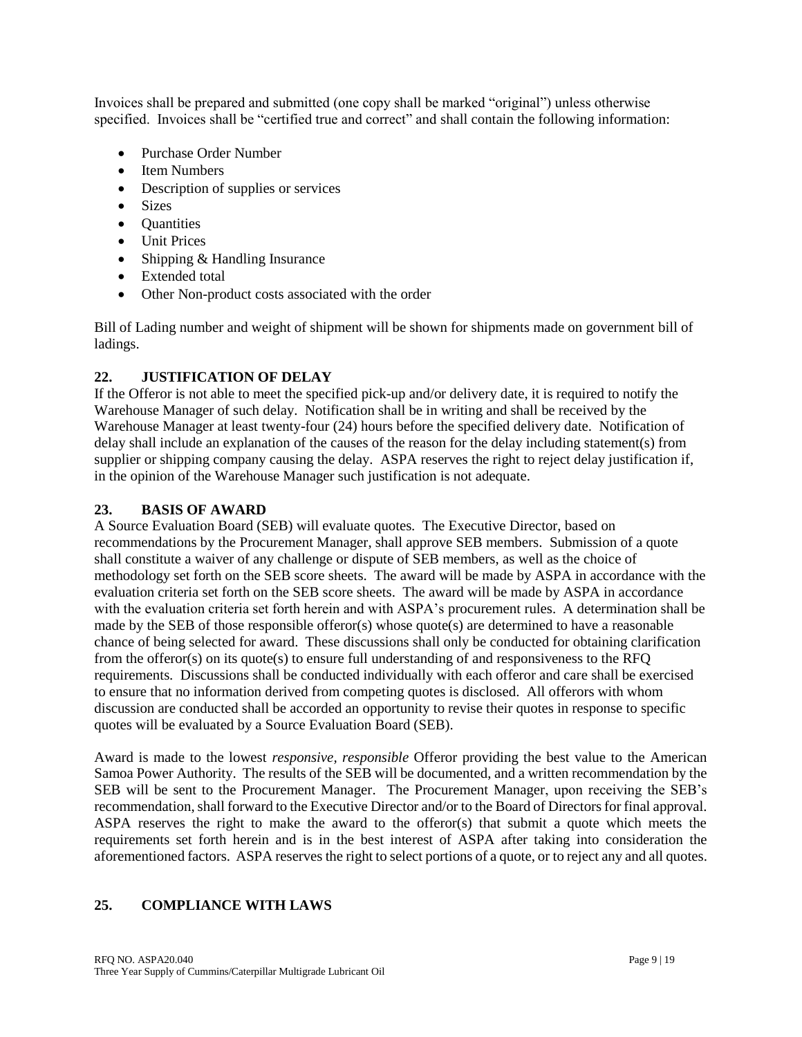Invoices shall be prepared and submitted (one copy shall be marked "original") unless otherwise specified. Invoices shall be "certified true and correct" and shall contain the following information:

- Purchase Order Number
- Item Numbers
- Description of supplies or services
- Sizes
- Quantities
- Unit Prices
- Shipping & Handling Insurance
- Extended total
- Other Non-product costs associated with the order

Bill of Lading number and weight of shipment will be shown for shipments made on government bill of ladings.

## **22. JUSTIFICATION OF DELAY**

If the Offeror is not able to meet the specified pick-up and/or delivery date, it is required to notify the Warehouse Manager of such delay. Notification shall be in writing and shall be received by the Warehouse Manager at least twenty-four (24) hours before the specified delivery date. Notification of delay shall include an explanation of the causes of the reason for the delay including statement(s) from supplier or shipping company causing the delay. ASPA reserves the right to reject delay justification if, in the opinion of the Warehouse Manager such justification is not adequate.

### **23. BASIS OF AWARD**

A Source Evaluation Board (SEB) will evaluate quotes. The Executive Director, based on recommendations by the Procurement Manager, shall approve SEB members. Submission of a quote shall constitute a waiver of any challenge or dispute of SEB members, as well as the choice of methodology set forth on the SEB score sheets. The award will be made by ASPA in accordance with the evaluation criteria set forth on the SEB score sheets. The award will be made by ASPA in accordance with the evaluation criteria set forth herein and with ASPA's procurement rules. A determination shall be made by the SEB of those responsible offeror(s) whose quote(s) are determined to have a reasonable chance of being selected for award. These discussions shall only be conducted for obtaining clarification from the offeror(s) on its quote(s) to ensure full understanding of and responsiveness to the RFQ requirements. Discussions shall be conducted individually with each offeror and care shall be exercised to ensure that no information derived from competing quotes is disclosed. All offerors with whom discussion are conducted shall be accorded an opportunity to revise their quotes in response to specific quotes will be evaluated by a Source Evaluation Board (SEB).

Award is made to the lowest *responsive, responsible* Offeror providing the best value to the American Samoa Power Authority. The results of the SEB will be documented, and a written recommendation by the SEB will be sent to the Procurement Manager. The Procurement Manager, upon receiving the SEB's recommendation, shall forward to the Executive Director and/or to the Board of Directors for final approval. ASPA reserves the right to make the award to the offeror(s) that submit a quote which meets the requirements set forth herein and is in the best interest of ASPA after taking into consideration the aforementioned factors. ASPA reserves the right to select portions of a quote, or to reject any and all quotes.

## **25. COMPLIANCE WITH LAWS**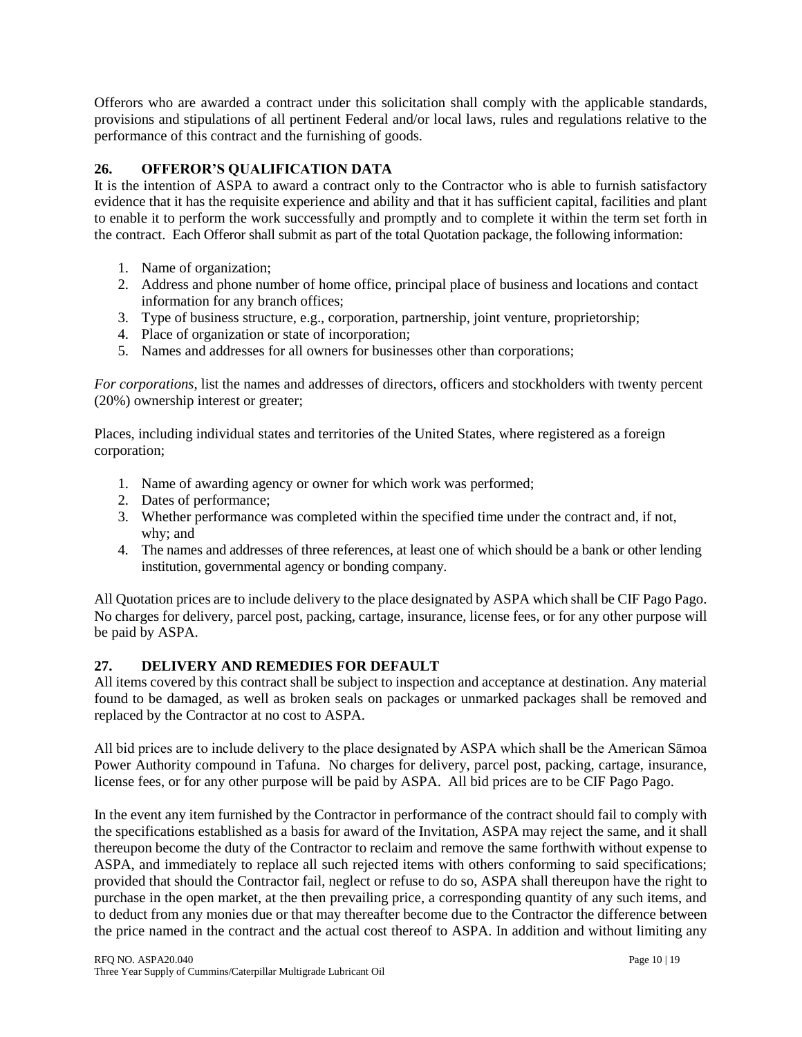Offerors who are awarded a contract under this solicitation shall comply with the applicable standards, provisions and stipulations of all pertinent Federal and/or local laws, rules and regulations relative to the performance of this contract and the furnishing of goods.

## **26. OFFEROR'S QUALIFICATION DATA**

It is the intention of ASPA to award a contract only to the Contractor who is able to furnish satisfactory evidence that it has the requisite experience and ability and that it has sufficient capital, facilities and plant to enable it to perform the work successfully and promptly and to complete it within the term set forth in the contract. Each Offeror shall submit as part of the total Quotation package, the following information:

- 1. Name of organization;
- 2. Address and phone number of home office, principal place of business and locations and contact information for any branch offices;
- 3. Type of business structure, e.g., corporation, partnership, joint venture, proprietorship;
- 4. Place of organization or state of incorporation;
- 5. Names and addresses for all owners for businesses other than corporations;

*For corporations,* list the names and addresses of directors, officers and stockholders with twenty percent (20%) ownership interest or greater;

Places, including individual states and territories of the United States, where registered as a foreign corporation;

- 1. Name of awarding agency or owner for which work was performed;
- 2. Dates of performance;
- 3. Whether performance was completed within the specified time under the contract and, if not, why; and
- 4. The names and addresses of three references, at least one of which should be a bank or other lending institution, governmental agency or bonding company.

All Quotation prices are to include delivery to the place designated by ASPA which shall be CIF Pago Pago. No charges for delivery, parcel post, packing, cartage, insurance, license fees, or for any other purpose will be paid by ASPA.

# **27. DELIVERY AND REMEDIES FOR DEFAULT**

All items covered by this contract shall be subject to inspection and acceptance at destination. Any material found to be damaged, as well as broken seals on packages or unmarked packages shall be removed and replaced by the Contractor at no cost to ASPA.

All bid prices are to include delivery to the place designated by ASPA which shall be the American Sāmoa Power Authority compound in Tafuna. No charges for delivery, parcel post, packing, cartage, insurance, license fees, or for any other purpose will be paid by ASPA. All bid prices are to be CIF Pago Pago.

In the event any item furnished by the Contractor in performance of the contract should fail to comply with the specifications established as a basis for award of the Invitation, ASPA may reject the same, and it shall thereupon become the duty of the Contractor to reclaim and remove the same forthwith without expense to ASPA, and immediately to replace all such rejected items with others conforming to said specifications; provided that should the Contractor fail, neglect or refuse to do so, ASPA shall thereupon have the right to purchase in the open market, at the then prevailing price, a corresponding quantity of any such items, and to deduct from any monies due or that may thereafter become due to the Contractor the difference between the price named in the contract and the actual cost thereof to ASPA. In addition and without limiting any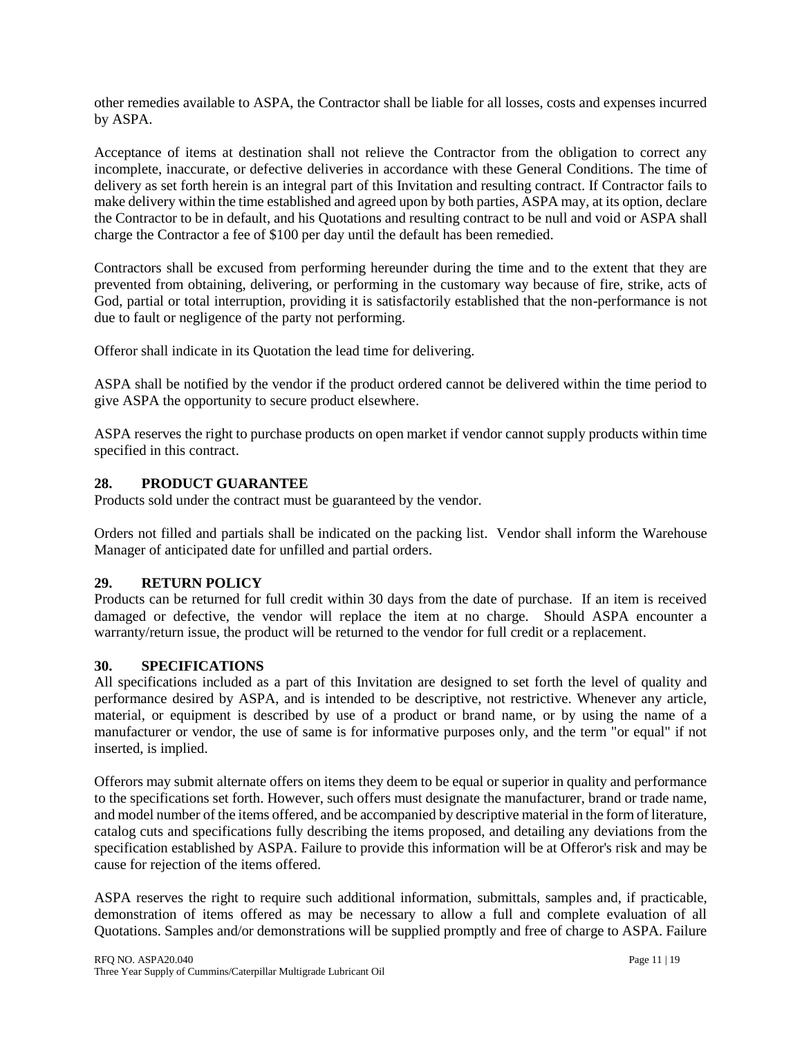other remedies available to ASPA, the Contractor shall be liable for all losses, costs and expenses incurred by ASPA.

Acceptance of items at destination shall not relieve the Contractor from the obligation to correct any incomplete, inaccurate, or defective deliveries in accordance with these General Conditions. The time of delivery as set forth herein is an integral part of this Invitation and resulting contract. If Contractor fails to make delivery within the time established and agreed upon by both parties, ASPA may, at its option, declare the Contractor to be in default, and his Quotations and resulting contract to be null and void or ASPA shall charge the Contractor a fee of \$100 per day until the default has been remedied.

Contractors shall be excused from performing hereunder during the time and to the extent that they are prevented from obtaining, delivering, or performing in the customary way because of fire, strike, acts of God, partial or total interruption, providing it is satisfactorily established that the non-performance is not due to fault or negligence of the party not performing.

Offeror shall indicate in its Quotation the lead time for delivering.

ASPA shall be notified by the vendor if the product ordered cannot be delivered within the time period to give ASPA the opportunity to secure product elsewhere.

ASPA reserves the right to purchase products on open market if vendor cannot supply products within time specified in this contract.

## **28. PRODUCT GUARANTEE**

Products sold under the contract must be guaranteed by the vendor.

Orders not filled and partials shall be indicated on the packing list. Vendor shall inform the Warehouse Manager of anticipated date for unfilled and partial orders.

## **29. RETURN POLICY**

Products can be returned for full credit within 30 days from the date of purchase. If an item is received damaged or defective, the vendor will replace the item at no charge. Should ASPA encounter a warranty/return issue, the product will be returned to the vendor for full credit or a replacement.

### **30. SPECIFICATIONS**

All specifications included as a part of this Invitation are designed to set forth the level of quality and performance desired by ASPA, and is intended to be descriptive, not restrictive. Whenever any article, material, or equipment is described by use of a product or brand name, or by using the name of a manufacturer or vendor, the use of same is for informative purposes only, and the term "or equal" if not inserted, is implied.

Offerors may submit alternate offers on items they deem to be equal or superior in quality and performance to the specifications set forth. However, such offers must designate the manufacturer, brand or trade name, and model number of the items offered, and be accompanied by descriptive material in the form of literature, catalog cuts and specifications fully describing the items proposed, and detailing any deviations from the specification established by ASPA. Failure to provide this information will be at Offeror's risk and may be cause for rejection of the items offered.

ASPA reserves the right to require such additional information, submittals, samples and, if practicable, demonstration of items offered as may be necessary to allow a full and complete evaluation of all Quotations. Samples and/or demonstrations will be supplied promptly and free of charge to ASPA. Failure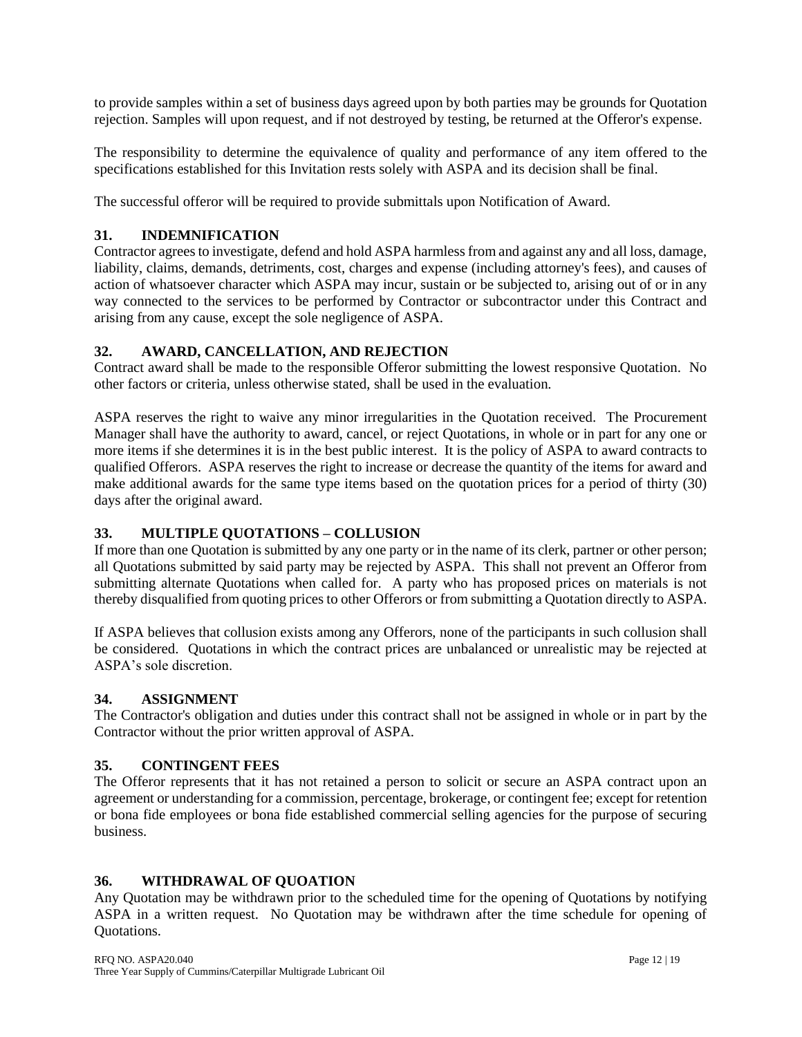to provide samples within a set of business days agreed upon by both parties may be grounds for Quotation rejection. Samples will upon request, and if not destroyed by testing, be returned at the Offeror's expense.

The responsibility to determine the equivalence of quality and performance of any item offered to the specifications established for this Invitation rests solely with ASPA and its decision shall be final.

The successful offeror will be required to provide submittals upon Notification of Award.

## **31. INDEMNIFICATION**

Contractor agrees to investigate, defend and hold ASPA harmless from and against any and all loss, damage, liability, claims, demands, detriments, cost, charges and expense (including attorney's fees), and causes of action of whatsoever character which ASPA may incur, sustain or be subjected to, arising out of or in any way connected to the services to be performed by Contractor or subcontractor under this Contract and arising from any cause, except the sole negligence of ASPA.

## **32. AWARD, CANCELLATION, AND REJECTION**

Contract award shall be made to the responsible Offeror submitting the lowest responsive Quotation. No other factors or criteria, unless otherwise stated, shall be used in the evaluation.

ASPA reserves the right to waive any minor irregularities in the Quotation received. The Procurement Manager shall have the authority to award, cancel, or reject Quotations, in whole or in part for any one or more items if she determines it is in the best public interest. It is the policy of ASPA to award contracts to qualified Offerors. ASPA reserves the right to increase or decrease the quantity of the items for award and make additional awards for the same type items based on the quotation prices for a period of thirty (30) days after the original award.

## **33. MULTIPLE QUOTATIONS – COLLUSION**

If more than one Quotation is submitted by any one party or in the name of its clerk, partner or other person; all Quotations submitted by said party may be rejected by ASPA. This shall not prevent an Offeror from submitting alternate Quotations when called for. A party who has proposed prices on materials is not thereby disqualified from quoting prices to other Offerors or from submitting a Quotation directly to ASPA.

If ASPA believes that collusion exists among any Offerors, none of the participants in such collusion shall be considered. Quotations in which the contract prices are unbalanced or unrealistic may be rejected at ASPA's sole discretion.

## **34. ASSIGNMENT**

The Contractor's obligation and duties under this contract shall not be assigned in whole or in part by the Contractor without the prior written approval of ASPA.

### **35. CONTINGENT FEES**

The Offeror represents that it has not retained a person to solicit or secure an ASPA contract upon an agreement or understanding for a commission, percentage, brokerage, or contingent fee; except for retention or bona fide employees or bona fide established commercial selling agencies for the purpose of securing business.

## **36. WITHDRAWAL OF QUOATION**

Any Quotation may be withdrawn prior to the scheduled time for the opening of Quotations by notifying ASPA in a written request. No Quotation may be withdrawn after the time schedule for opening of Quotations.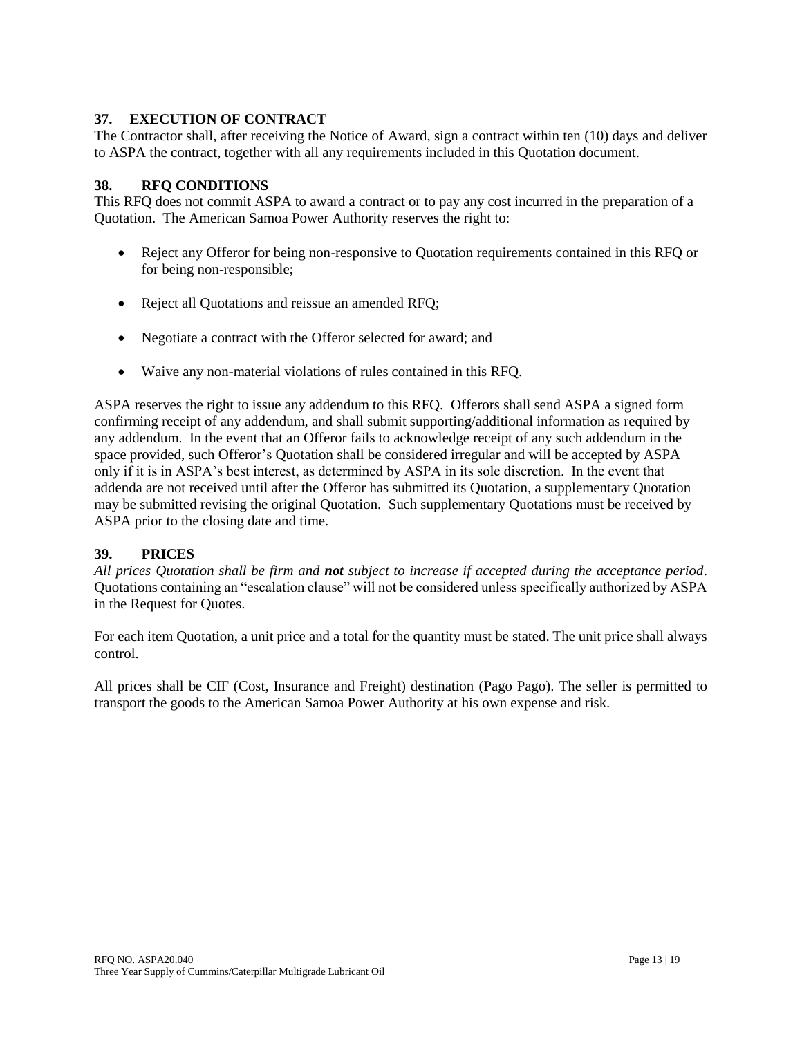## **37. EXECUTION OF CONTRACT**

The Contractor shall, after receiving the Notice of Award, sign a contract within ten (10) days and deliver to ASPA the contract, together with all any requirements included in this Quotation document.

### **38. RFQ CONDITIONS**

This RFQ does not commit ASPA to award a contract or to pay any cost incurred in the preparation of a Quotation. The American Samoa Power Authority reserves the right to:

- Reject any Offeror for being non-responsive to Quotation requirements contained in this RFQ or for being non-responsible;
- Reject all Quotations and reissue an amended RFQ;
- Negotiate a contract with the Offeror selected for award; and
- Waive any non-material violations of rules contained in this RFQ.

ASPA reserves the right to issue any addendum to this RFQ. Offerors shall send ASPA a signed form confirming receipt of any addendum, and shall submit supporting/additional information as required by any addendum. In the event that an Offeror fails to acknowledge receipt of any such addendum in the space provided, such Offeror's Quotation shall be considered irregular and will be accepted by ASPA only if it is in ASPA's best interest, as determined by ASPA in its sole discretion. In the event that addenda are not received until after the Offeror has submitted its Quotation, a supplementary Quotation may be submitted revising the original Quotation. Such supplementary Quotations must be received by ASPA prior to the closing date and time.

### **39. PRICES**

*All prices Quotation shall be firm and not subject to increase if accepted during the acceptance period*. Quotations containing an "escalation clause" will not be considered unless specifically authorized by ASPA in the Request for Quotes.

For each item Quotation, a unit price and a total for the quantity must be stated. The unit price shall always control.

All prices shall be CIF (Cost, Insurance and Freight) destination (Pago Pago). The seller is permitted to transport the goods to the American Samoa Power Authority at his own expense and risk.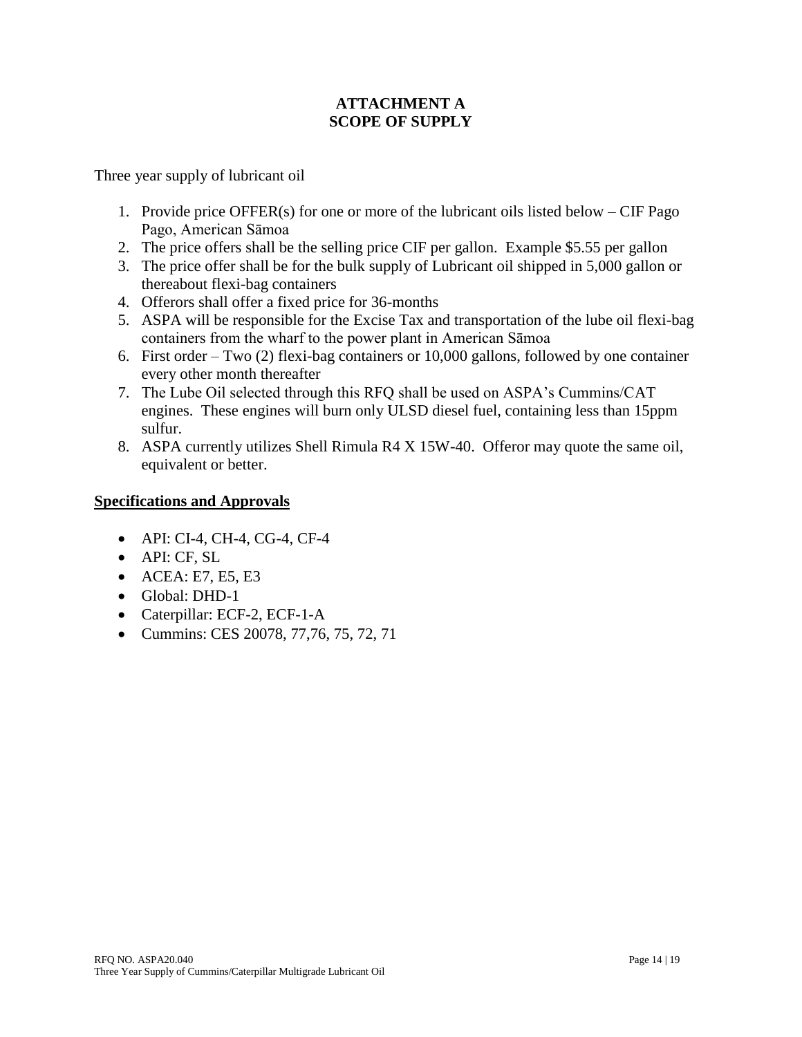# **ATTACHMENT A SCOPE OF SUPPLY**

Three year supply of lubricant oil

- 1. Provide price OFFER(s) for one or more of the lubricant oils listed below CIF Pago Pago, American Sāmoa
- 2. The price offers shall be the selling price CIF per gallon. Example \$5.55 per gallon
- 3. The price offer shall be for the bulk supply of Lubricant oil shipped in 5,000 gallon or thereabout flexi-bag containers
- 4. Offerors shall offer a fixed price for 36-months
- 5. ASPA will be responsible for the Excise Tax and transportation of the lube oil flexi-bag containers from the wharf to the power plant in American Sāmoa
- 6. First order Two (2) flexi-bag containers or 10,000 gallons, followed by one container every other month thereafter
- 7. The Lube Oil selected through this RFQ shall be used on ASPA's Cummins/CAT engines. These engines will burn only ULSD diesel fuel, containing less than 15ppm sulfur.
- 8. ASPA currently utilizes Shell Rimula R4 X 15W-40. Offeror may quote the same oil, equivalent or better.

# **Specifications and Approvals**

- API: CI-4, CH-4, CG-4, CF-4
- API: CF, SL
- ACEA: E7, E5, E3
- Global: DHD-1
- Caterpillar: ECF-2, ECF-1-A
- Cummins: CES 20078, 77,76, 75, 72, 71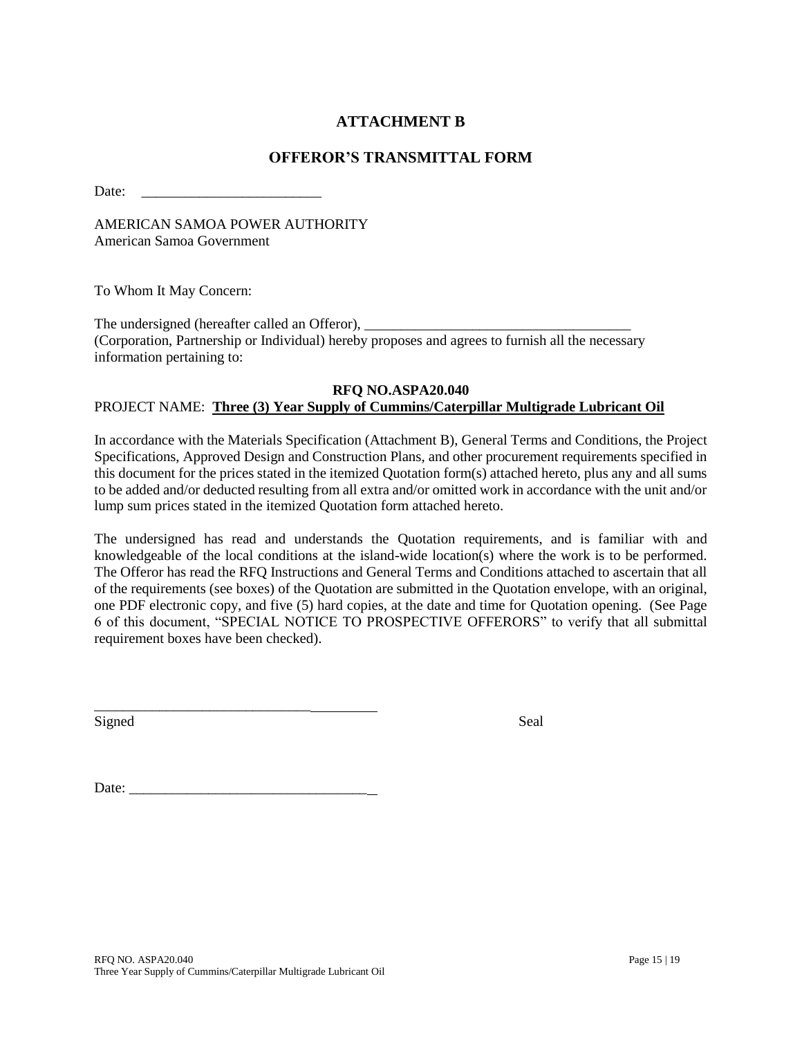# **ATTACHMENT B**

## **OFFEROR'S TRANSMITTAL FORM**

Date:

AMERICAN SAMOA POWER AUTHORITY American Samoa Government

To Whom It May Concern:

The undersigned (hereafter called an Offeror), (Corporation, Partnership or Individual) hereby proposes and agrees to furnish all the necessary information pertaining to:

#### **RFQ NO.ASPA20.040** PROJECT NAME: **Three (3) Year Supply of Cummins/Caterpillar Multigrade Lubricant Oil**

In accordance with the Materials Specification (Attachment B), General Terms and Conditions, the Project Specifications, Approved Design and Construction Plans, and other procurement requirements specified in this document for the prices stated in the itemized Quotation form(s) attached hereto, plus any and all sums to be added and/or deducted resulting from all extra and/or omitted work in accordance with the unit and/or lump sum prices stated in the itemized Quotation form attached hereto.

The undersigned has read and understands the Quotation requirements, and is familiar with and knowledgeable of the local conditions at the island-wide location(s) where the work is to be performed. The Offeror has read the RFQ Instructions and General Terms and Conditions attached to ascertain that all of the requirements (see boxes) of the Quotation are submitted in the Quotation envelope, with an original, one PDF electronic copy, and five (5) hard copies, at the date and time for Quotation opening. (See Page 6 of this document, "SPECIAL NOTICE TO PROSPECTIVE OFFERORS" to verify that all submittal requirement boxes have been checked).

Signed Seal

Date:

\_\_\_\_\_\_\_\_\_\_\_\_\_\_\_\_\_\_\_\_\_\_\_\_\_\_\_\_\_\_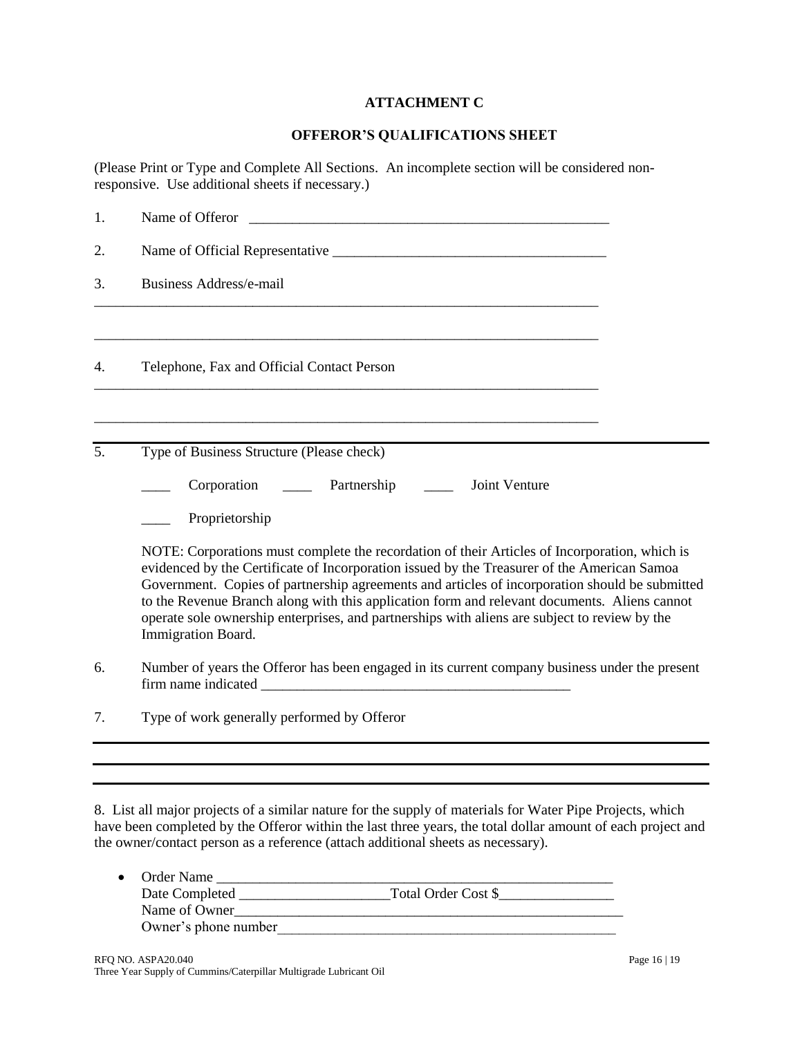### **ATTACHMENT C**

### **OFFEROR'S QUALIFICATIONS SHEET**

(Please Print or Type and Complete All Sections. An incomplete section will be considered nonresponsive. Use additional sheets if necessary.)

| 1. | Name of Offeror <u>example and the set of the set of the set of the set of the set of the set of the set of the set of the set of the set of the set of the set of the set of the set of the set of the set of the set of the se</u>                                                                                                                                                                                                                                                                                  |  |  |
|----|-----------------------------------------------------------------------------------------------------------------------------------------------------------------------------------------------------------------------------------------------------------------------------------------------------------------------------------------------------------------------------------------------------------------------------------------------------------------------------------------------------------------------|--|--|
| 2. |                                                                                                                                                                                                                                                                                                                                                                                                                                                                                                                       |  |  |
| 3. | <b>Business Address/e-mail</b>                                                                                                                                                                                                                                                                                                                                                                                                                                                                                        |  |  |
| 4. | Telephone, Fax and Official Contact Person                                                                                                                                                                                                                                                                                                                                                                                                                                                                            |  |  |
| 5. | Type of Business Structure (Please check)                                                                                                                                                                                                                                                                                                                                                                                                                                                                             |  |  |
|    | Corporation _______ Partnership _____<br>Joint Venture                                                                                                                                                                                                                                                                                                                                                                                                                                                                |  |  |
|    | Proprietorship                                                                                                                                                                                                                                                                                                                                                                                                                                                                                                        |  |  |
|    | NOTE: Corporations must complete the recordation of their Articles of Incorporation, which is<br>evidenced by the Certificate of Incorporation issued by the Treasurer of the American Samoa<br>Government. Copies of partnership agreements and articles of incorporation should be submitted<br>to the Revenue Branch along with this application form and relevant documents. Aliens cannot<br>operate sole ownership enterprises, and partnerships with aliens are subject to review by the<br>Immigration Board. |  |  |
| 6. | Number of years the Offeror has been engaged in its current company business under the present                                                                                                                                                                                                                                                                                                                                                                                                                        |  |  |
| 7. | Type of work generally performed by Offeror                                                                                                                                                                                                                                                                                                                                                                                                                                                                           |  |  |
|    |                                                                                                                                                                                                                                                                                                                                                                                                                                                                                                                       |  |  |

8. List all major projects of a similar nature for the supply of materials for Water Pipe Projects, which have been completed by the Offeror within the last three years, the total dollar amount of each project and the owner/contact person as a reference (attach additional sheets as necessary).

| $\bullet$ | Order Name           |                     |
|-----------|----------------------|---------------------|
|           | Date Completed       | Total Order Cost \$ |
|           | Name of Owner        |                     |
|           | Owner's phone number |                     |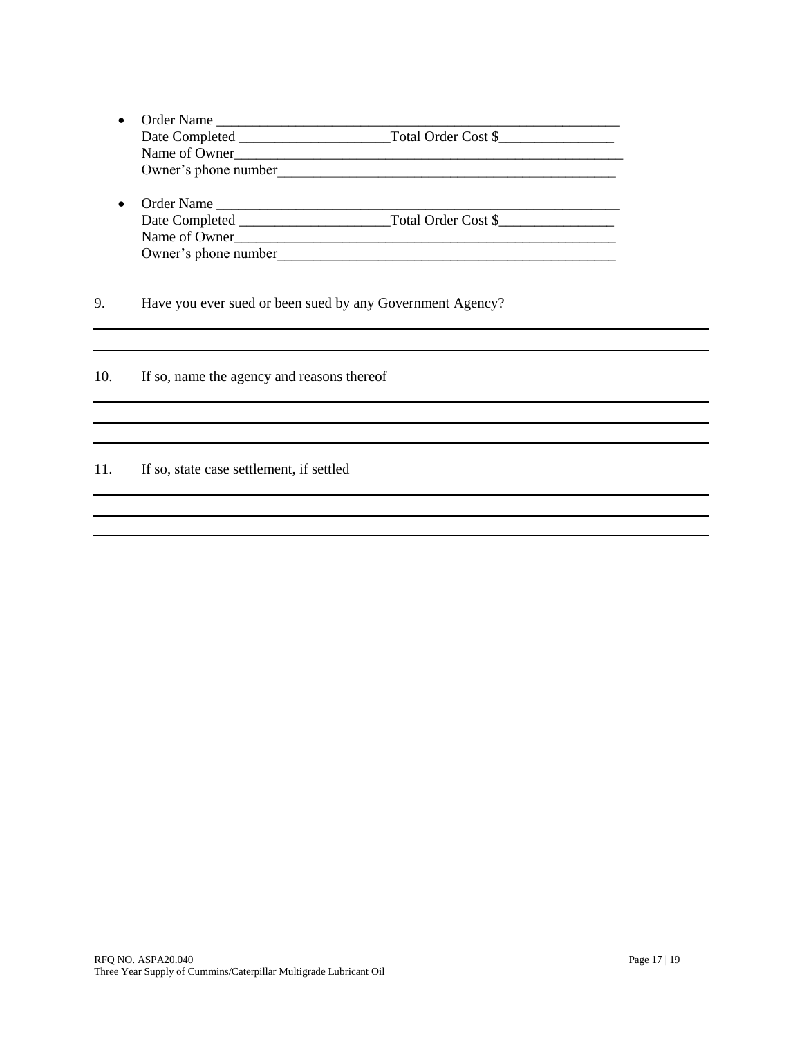- Order Name \_\_\_\_\_\_\_\_\_\_\_\_\_\_\_\_\_\_\_\_\_\_\_\_\_\_\_\_\_\_\_\_\_\_\_\_\_\_\_\_\_\_\_\_\_\_\_\_\_\_\_\_\_\_\_\_ Date Completed \_\_\_\_\_\_\_\_\_\_\_\_\_\_\_\_\_\_\_\_\_Total Order Cost \$\_\_\_\_\_\_\_\_\_\_\_\_\_\_\_\_ Name of Owner\_\_\_\_\_\_\_\_\_\_\_\_\_\_\_\_\_\_\_\_\_\_\_\_\_\_\_\_\_\_\_\_\_\_\_\_\_\_\_\_\_\_\_\_\_\_\_\_\_\_\_\_\_\_ Owner's phone number
- Order Name \_\_\_\_\_\_\_\_\_\_\_\_\_\_\_\_\_\_\_\_\_\_\_\_\_\_\_\_\_\_\_\_\_\_\_\_\_\_\_\_\_\_\_\_\_\_\_\_\_\_\_\_\_\_\_\_ Date Completed \_\_\_\_\_\_\_\_\_\_\_\_\_\_\_\_\_\_\_\_\_Total Order Cost \$\_\_\_\_\_\_\_\_\_\_\_\_\_\_\_\_ Name of Owner\_\_\_\_\_\_\_\_\_\_\_\_\_\_\_\_\_\_\_\_\_\_\_\_\_\_\_\_\_\_\_\_\_\_\_\_\_\_\_\_\_\_\_\_\_\_\_\_\_\_\_\_\_ Owner's phone number

9. Have you ever sued or been sued by any Government Agency?

10. If so, name the agency and reasons thereof

11. If so, state case settlement, if settled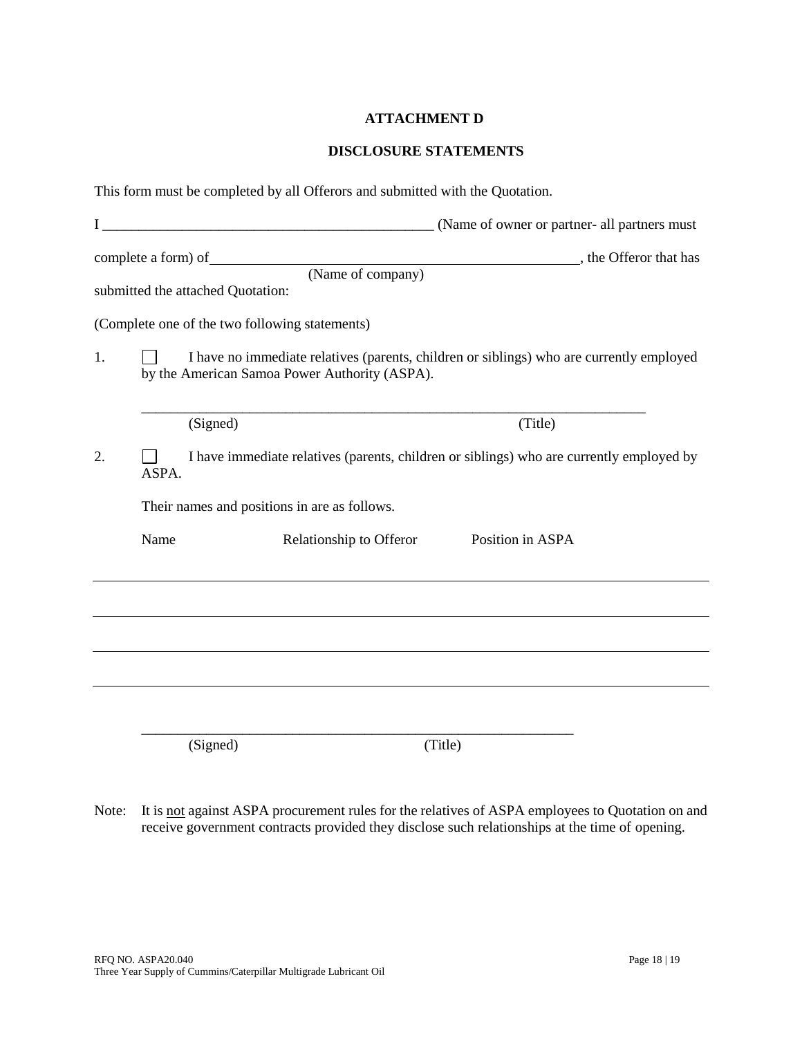## **ATTACHMENT D**

### **DISCLOSURE STATEMENTS**

|    |       | This form must be completed by all Offerors and submitted with the Quotation.                                                                                                               |                                                                                                   |
|----|-------|---------------------------------------------------------------------------------------------------------------------------------------------------------------------------------------------|---------------------------------------------------------------------------------------------------|
|    |       |                                                                                                                                                                                             |                                                                                                   |
|    |       | complete a form) of<br>submitted the attached Quotation:                                                                                                                                    | $\overline{\hspace{1cm}}$ . The Offeror that has $\overline{\hspace{1cm}}$ , the Offeror that has |
| 1. |       | (Complete one of the two following statements)<br>I have no immediate relatives (parents, children or siblings) who are currently employed<br>by the American Samoa Power Authority (ASPA). |                                                                                                   |
|    |       | (Signed)                                                                                                                                                                                    | (Title)                                                                                           |
| 2. | ASPA. | I have immediate relatives (parents, children or siblings) who are currently employed by                                                                                                    |                                                                                                   |
|    |       | Their names and positions in are as follows.                                                                                                                                                |                                                                                                   |
|    | Name  | Relationship to Offeror                                                                                                                                                                     | Position in ASPA                                                                                  |
|    |       |                                                                                                                                                                                             |                                                                                                   |
|    |       |                                                                                                                                                                                             |                                                                                                   |
|    |       |                                                                                                                                                                                             |                                                                                                   |
|    |       |                                                                                                                                                                                             |                                                                                                   |
|    |       | (Signed)<br>(Title)                                                                                                                                                                         |                                                                                                   |

Note: It is not against ASPA procurement rules for the relatives of ASPA employees to Quotation on and receive government contracts provided they disclose such relationships at the time of opening.